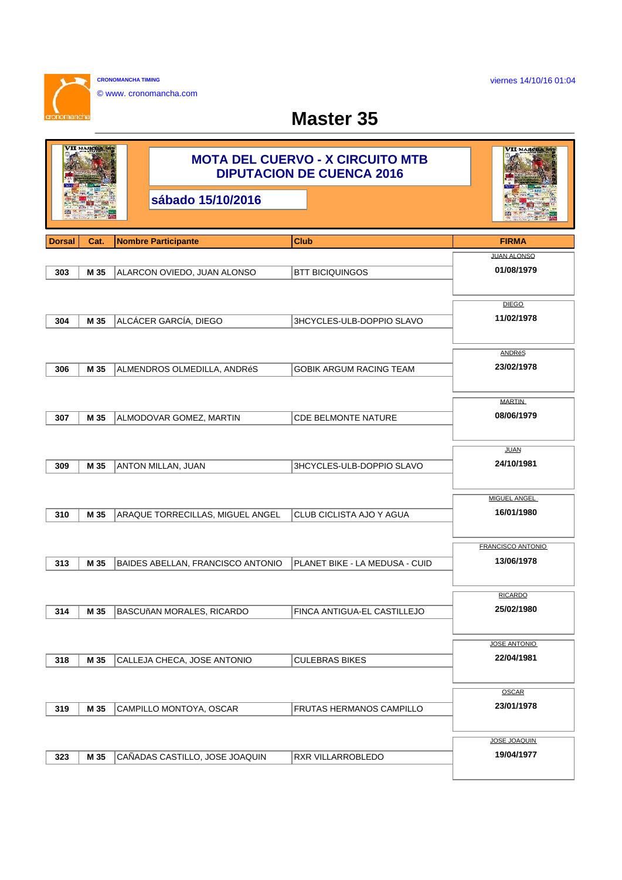viernes 14/10/16 01:04

٦



## **Master 35**

|               |      |                                   | <b>MOTA DEL CUERVO - X CIRCUITO MTB</b><br><b>DIPUTACION DE CUENCA 2016</b> |                                        |  |
|---------------|------|-----------------------------------|-----------------------------------------------------------------------------|----------------------------------------|--|
|               |      | sábado 15/10/2016                 |                                                                             |                                        |  |
| <b>Dorsal</b> | Cat. | <b>Nombre Participante</b>        | Club                                                                        | <b>FIRMA</b>                           |  |
| 303           | M 35 | ALARCON OVIEDO, JUAN ALONSO       | <b>BTT BICIQUINGOS</b>                                                      | <b>JUAN ALONSO</b><br>01/08/1979       |  |
| 304           | M 35 | ALCÁCER GARCÍA, DIEGO             | 3HCYCLES-ULB-DOPPIO SLAVO                                                   | <b>DIEGO</b><br>11/02/1978             |  |
| 306           | M 35 | ALMENDROS OLMEDILLA, ANDRéS       | <b>GOBIK ARGUM RACING TEAM</b>                                              | <b>ANDRéS</b><br>23/02/1978            |  |
| 307           | M 35 | ALMODOVAR GOMEZ, MARTIN           | CDE BELMONTE NATURE                                                         | <b>MARTIN</b><br>08/06/1979            |  |
| 309           | M 35 | ANTON MILLAN, JUAN                | 3HCYCLES-ULB-DOPPIO SLAVO                                                   | <b>JUAN</b><br>24/10/1981              |  |
| 310           | M 35 | ARAQUE TORRECILLAS, MIGUEL ANGEL  | CLUB CICLISTA AJO Y AGUA                                                    | <b>MIGUEL ANGEL</b><br>16/01/1980      |  |
| 313           | M 35 | BAIDES ABELLAN, FRANCISCO ANTONIO | PLANET BIKE - LA MEDUSA - CUID                                              | <b>FRANCISCO ANTONIO</b><br>13/06/1978 |  |
| 314           | M 35 | <b>BASCUñAN MORALES, RICARDO</b>  | FINCA ANTIGUA-EL CASTILLEJO                                                 | <b>RICARDO</b><br>25/02/1980           |  |
| 318           | M 35 | CALLEJA CHECA, JOSE ANTONIO       | <b>CULEBRAS BIKES</b>                                                       | <b>JOSE ANTONIO</b><br>22/04/1981      |  |
| 319           | M 35 | CAMPILLO MONTOYA, OSCAR           | FRUTAS HERMANOS CAMPILLO                                                    | <b>OSCAR</b><br>23/01/1978             |  |
| 323           | M 35 | CAÑADAS CASTILLO, JOSE JOAQUIN    | RXR VILLARROBLEDO                                                           | <b>JOSE JOAQUIN</b><br>19/04/1977      |  |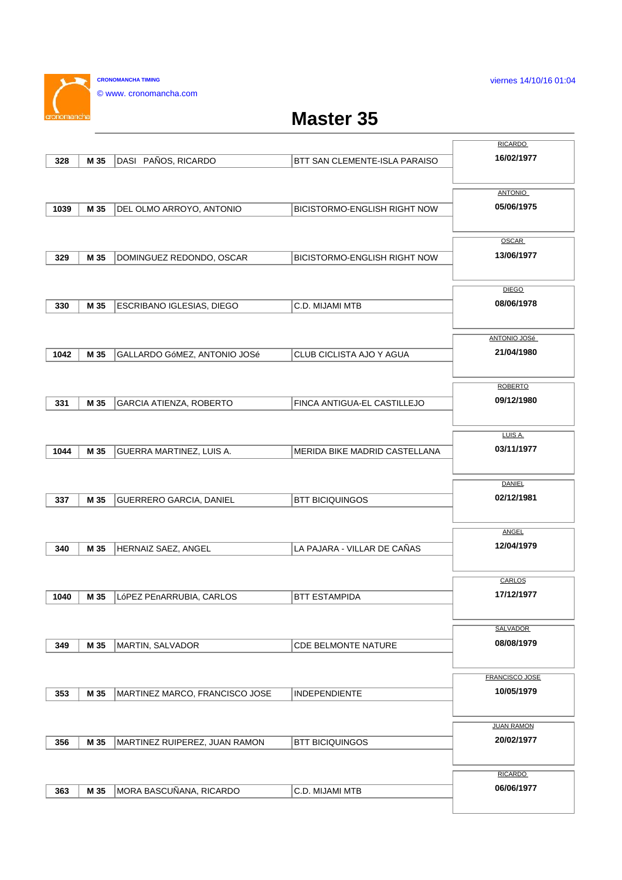## viernes 14/10/16 01:04

**CRONOMANCHA TIMING**  $\rightarrow$ © www. cronomancha.com

## **Master 35**

|      |      |                                |                               | <b>RICARDO</b>        |
|------|------|--------------------------------|-------------------------------|-----------------------|
| 328  | M 35 | DASI PAÑOS, RICARDO            | BTT SAN CLEMENTE-ISLA PARAISO | 16/02/1977            |
|      |      |                                |                               |                       |
|      |      |                                |                               | <b>ANTONIO</b>        |
|      |      |                                |                               | 05/06/1975            |
| 1039 | M 35 | DEL OLMO ARROYO, ANTONIO       | BICISTORMO-ENGLISH RIGHT NOW  |                       |
|      |      |                                |                               |                       |
|      |      |                                |                               | <b>OSCAR</b>          |
| 329  | M 35 | DOMINGUEZ REDONDO, OSCAR       | BICISTORMO-ENGLISH RIGHT NOW  | 13/06/1977            |
|      |      |                                |                               |                       |
|      |      |                                |                               | <b>DIEGO</b>          |
|      |      |                                |                               | 08/06/1978            |
| 330  | M 35 | ESCRIBANO IGLESIAS, DIEGO      | C.D. MIJAMI MTB               |                       |
|      |      |                                |                               |                       |
|      |      |                                |                               | ANTONIO JOSé          |
| 1042 | M 35 | GALLARDO GóMEZ, ANTONIO JOSé   | CLUB CICLISTA AJO Y AGUA      | 21/04/1980            |
|      |      |                                |                               |                       |
|      |      |                                |                               | <b>ROBERTO</b>        |
| 331  | M 35 | GARCIA ATIENZA, ROBERTO        | FINCA ANTIGUA-EL CASTILLEJO   | 09/12/1980            |
|      |      |                                |                               |                       |
|      |      |                                |                               |                       |
|      |      |                                |                               | LUIS A.               |
| 1044 | M 35 | GUERRA MARTINEZ, LUIS A.       | MERIDA BIKE MADRID CASTELLANA | 03/11/1977            |
|      |      |                                |                               |                       |
|      |      |                                |                               | <b>DANIEL</b>         |
| 337  | M 35 | GUERRERO GARCIA, DANIEL        | <b>BTT BICIQUINGOS</b>        | 02/12/1981            |
|      |      |                                |                               |                       |
|      |      |                                |                               |                       |
|      |      |                                |                               | <b>ANGEL</b>          |
| 340  | M 35 | <b>HERNAIZ SAEZ, ANGEL</b>     | LA PAJARA - VILLAR DE CAÑAS   | 12/04/1979            |
|      |      |                                |                               |                       |
|      |      |                                |                               | CARLOS                |
| 1040 | M 35 | LóPEZ PEnARRUBIA, CARLOS       | <b>BTT ESTAMPIDA</b>          | 17/12/1977            |
|      |      |                                |                               |                       |
|      |      |                                |                               | <b>SALVADOR</b>       |
|      |      |                                |                               | 08/08/1979            |
| 349  | M 35 | MARTIN, SALVADOR               | <b>CDE BELMONTE NATURE</b>    |                       |
|      |      |                                |                               |                       |
|      |      |                                |                               | <b>FRANCISCO JOSE</b> |
| 353  | M 35 | MARTINEZ MARCO, FRANCISCO JOSE | <b>INDEPENDIENTE</b>          | 10/05/1979            |
|      |      |                                |                               |                       |
|      |      |                                |                               | <b>JUAN RAMON</b>     |
| 356  | M 35 | MARTINEZ RUIPEREZ, JUAN RAMON  | <b>BTT BICIQUINGOS</b>        | 20/02/1977            |
|      |      |                                |                               |                       |
|      |      |                                |                               |                       |
|      |      |                                |                               | <b>RICARDO</b>        |
| 363  | M 35 | MORA BASCUÑANA, RICARDO        | C.D. MIJAMI MTB               | 06/06/1977            |
|      |      |                                |                               |                       |